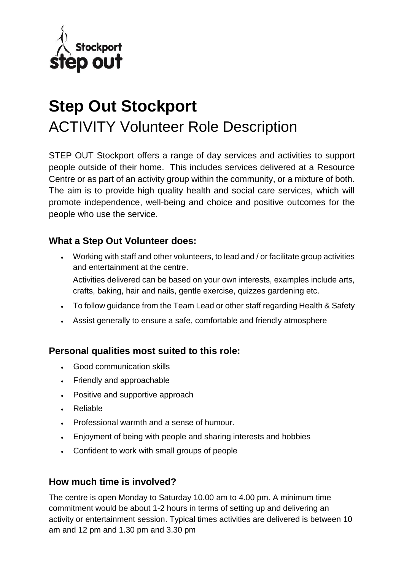

# **Step Out Stockport**  ACTIVITY Volunteer Role Description

STEP OUT Stockport offers a range of day services and activities to support people outside of their home. This includes services delivered at a Resource Centre or as part of an activity group within the community, or a mixture of both. The aim is to provide high quality health and social care services, which will promote independence, well-being and choice and positive outcomes for the people who use the service.

#### **What a Step Out Volunteer does:**

 Working with staff and other volunteers, to lead and / or facilitate group activities and entertainment at the centre.

Activities delivered can be based on your own interests, examples include arts, crafts, baking, hair and nails, gentle exercise, quizzes gardening etc.

- To follow guidance from the Team Lead or other staff regarding Health & Safety
- Assist generally to ensure a safe, comfortable and friendly atmosphere

#### **Personal qualities most suited to this role:**

- Good communication skills
- Friendly and approachable
- Positive and supportive approach
- Reliable
- Professional warmth and a sense of humour.
- Enjoyment of being with people and sharing interests and hobbies
- Confident to work with small groups of people

#### **How much time is involved?**

The centre is open Monday to Saturday 10.00 am to 4.00 pm. A minimum time commitment would be about 1-2 hours in terms of setting up and delivering an activity or entertainment session. Typical times activities are delivered is between 10 am and 12 pm and 1.30 pm and 3.30 pm